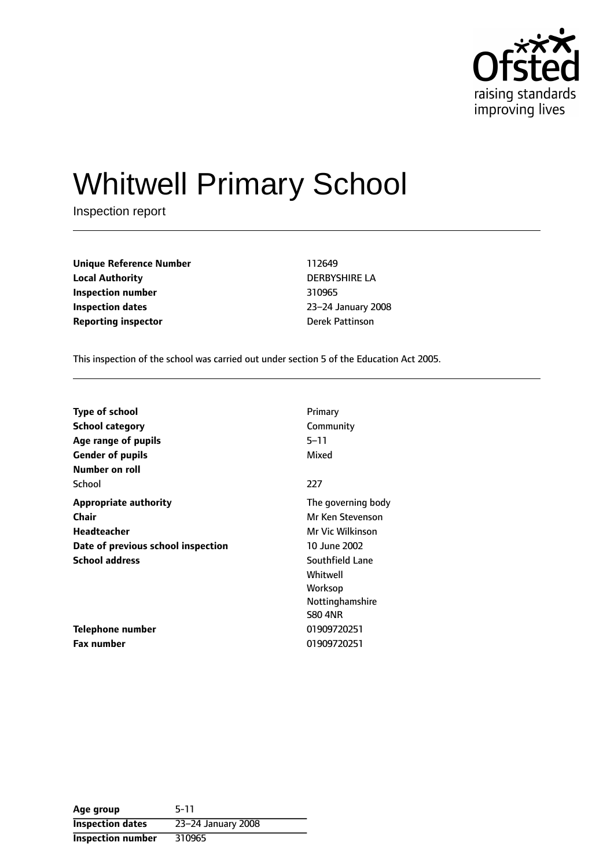

# Whitwell Primary School

Inspection report

**Unique Reference Number** 112649 **Local Authority** DERBYSHIRE LA **Inspection number** 310965 **Inspection dates** 23-24 January 2008 **Reporting inspector Derek Pattinson** 

This inspection of the school was carried out under section 5 of the Education Act 2005.

| <b>Type of school</b>              | Primary            |
|------------------------------------|--------------------|
| <b>School category</b>             | Community          |
| Age range of pupils                | 5–11               |
| <b>Gender of pupils</b>            | Mixed              |
| <b>Number on roll</b>              |                    |
| School                             | 227                |
| <b>Appropriate authority</b>       | The governing body |
| Chair                              | Mr Ken Stevenson   |
| Headteacher                        | Mr Vic Wilkinson   |
| Date of previous school inspection | 10 June 2002       |
| <b>School address</b>              | Southfield Lane    |
|                                    | Whitwell           |
|                                    | Worksop            |
|                                    | Nottinghamshire    |
|                                    | <b>S80 4NR</b>     |
| <b>Telephone number</b>            | 01909720251        |
| <b>Fax number</b>                  | 01909720251        |

**Age group** 5-11 **Inspection dates** 23-24 January 2008 **Inspection number** 310965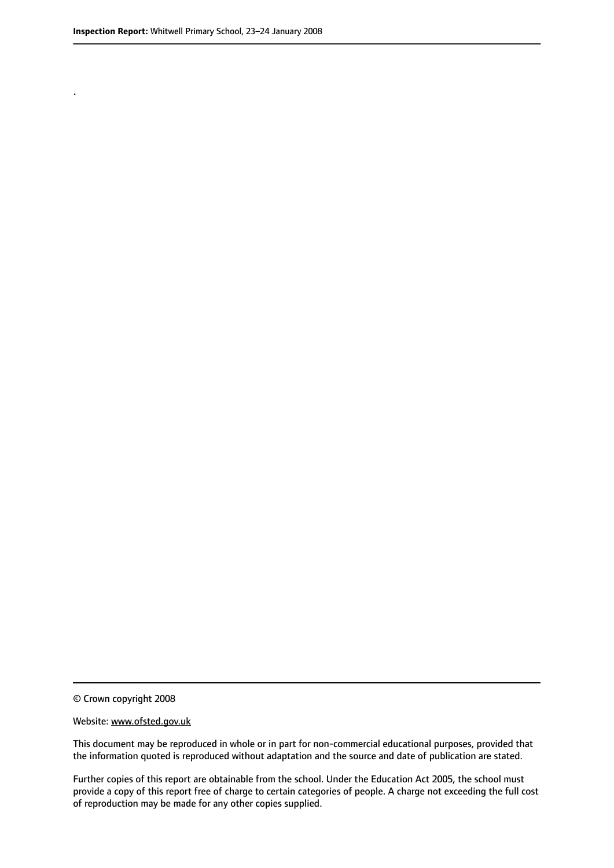.

© Crown copyright 2008

#### Website: www.ofsted.gov.uk

This document may be reproduced in whole or in part for non-commercial educational purposes, provided that the information quoted is reproduced without adaptation and the source and date of publication are stated.

Further copies of this report are obtainable from the school. Under the Education Act 2005, the school must provide a copy of this report free of charge to certain categories of people. A charge not exceeding the full cost of reproduction may be made for any other copies supplied.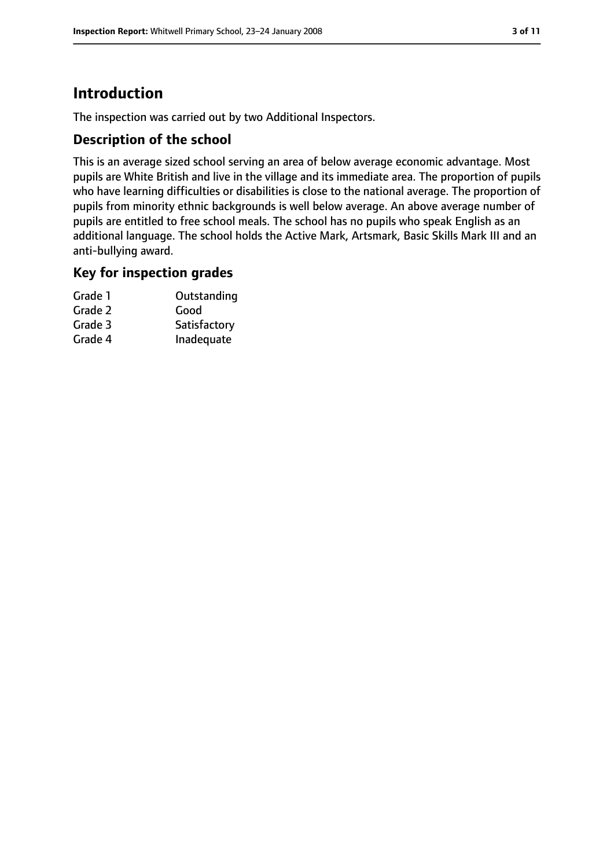# **Introduction**

The inspection was carried out by two Additional Inspectors.

#### **Description of the school**

This is an average sized school serving an area of below average economic advantage. Most pupils are White British and live in the village and its immediate area. The proportion of pupils who have learning difficulties or disabilities is close to the national average. The proportion of pupils from minority ethnic backgrounds is well below average. An above average number of pupils are entitled to free school meals. The school has no pupils who speak English as an additional language. The school holds the Active Mark, Artsmark, Basic Skills Mark III and an anti-bullying award.

#### **Key for inspection grades**

| Grade 1 | Outstanding  |
|---------|--------------|
| Grade 2 | Good         |
| Grade 3 | Satisfactory |
| Grade 4 | Inadequate   |
|         |              |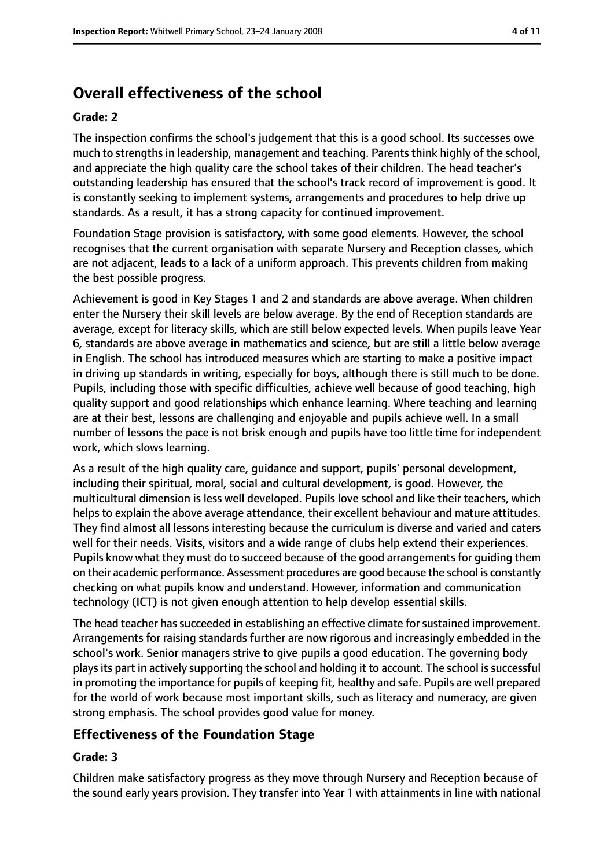# **Overall effectiveness of the school**

#### **Grade: 2**

The inspection confirms the school's judgement that this is a good school. Its successes owe much to strengths in leadership, management and teaching. Parents think highly of the school, and appreciate the high quality care the school takes of their children. The head teacher's outstanding leadership has ensured that the school's track record of improvement is good. It is constantly seeking to implement systems, arrangements and procedures to help drive up standards. As a result, it has a strong capacity for continued improvement.

Foundation Stage provision is satisfactory, with some good elements. However, the school recognises that the current organisation with separate Nursery and Reception classes, which are not adjacent, leads to a lack of a uniform approach. This prevents children from making the best possible progress.

Achievement is good in Key Stages 1 and 2 and standards are above average. When children enter the Nursery their skill levels are below average. By the end of Reception standards are average, except for literacy skills, which are still below expected levels. When pupils leave Year 6, standards are above average in mathematics and science, but are still a little below average in English. The school has introduced measures which are starting to make a positive impact in driving up standards in writing, especially for boys, although there is still much to be done. Pupils, including those with specific difficulties, achieve well because of good teaching, high quality support and good relationships which enhance learning. Where teaching and learning are at their best, lessons are challenging and enjoyable and pupils achieve well. In a small number of lessons the pace is not brisk enough and pupils have too little time for independent work, which slows learning.

As a result of the high quality care, guidance and support, pupils' personal development, including their spiritual, moral, social and cultural development, is good. However, the multicultural dimension is less well developed. Pupils love school and like their teachers, which helps to explain the above average attendance, their excellent behaviour and mature attitudes. They find almost all lessons interesting because the curriculum is diverse and varied and caters well for their needs. Visits, visitors and a wide range of clubs help extend their experiences. Pupils know what they must do to succeed because of the good arrangements for guiding them on their academic performance. Assessment procedures are good because the school is constantly checking on what pupils know and understand. However, information and communication technology (ICT) is not given enough attention to help develop essential skills.

The head teacher has succeeded in establishing an effective climate for sustained improvement. Arrangements for raising standards further are now rigorous and increasingly embedded in the school's work. Senior managers strive to give pupils a good education. The governing body playsits part in actively supporting the school and holding it to account. The school issuccessful in promoting the importance for pupils of keeping fit, healthy and safe. Pupils are well prepared for the world of work because most important skills, such as literacy and numeracy, are given strong emphasis. The school provides good value for money.

#### **Effectiveness of the Foundation Stage**

#### **Grade: 3**

Children make satisfactory progress as they move through Nursery and Reception because of the sound early years provision. They transfer into Year 1 with attainments in line with national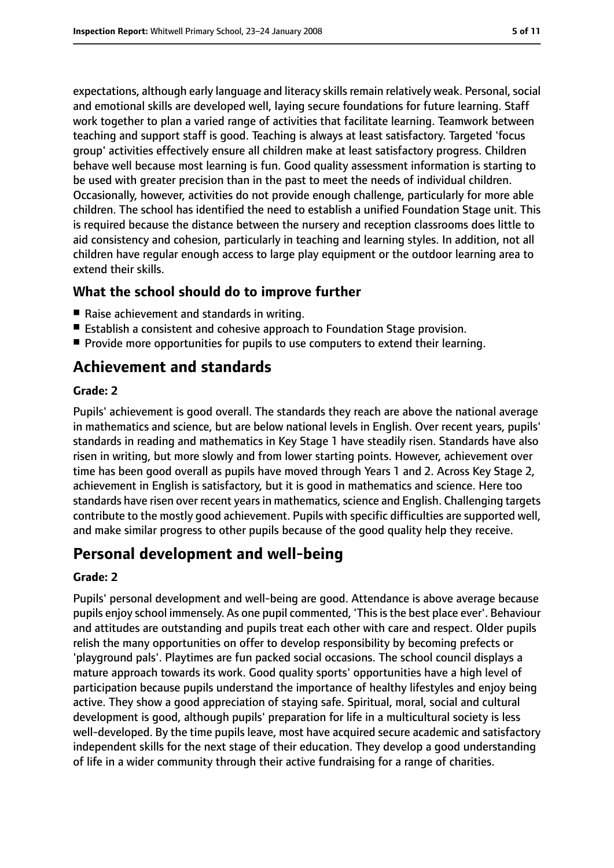expectations, although early language and literacy skills remain relatively weak. Personal, social and emotional skills are developed well, laying secure foundations for future learning. Staff work together to plan a varied range of activities that facilitate learning. Teamwork between teaching and support staff is good. Teaching is always at least satisfactory. Targeted 'focus group' activities effectively ensure all children make at least satisfactory progress. Children behave well because most learning is fun. Good quality assessment information is starting to be used with greater precision than in the past to meet the needs of individual children. Occasionally, however, activities do not provide enough challenge, particularly for more able children. The school has identified the need to establish a unified Foundation Stage unit. This is required because the distance between the nursery and reception classrooms does little to aid consistency and cohesion, particularly in teaching and learning styles. In addition, not all children have regular enough access to large play equipment or the outdoor learning area to extend their skills.

#### **What the school should do to improve further**

- Raise achievement and standards in writing.
- Establish a consistent and cohesive approach to Foundation Stage provision.
- Provide more opportunities for pupils to use computers to extend their learning.

# **Achievement and standards**

#### **Grade: 2**

Pupils' achievement is good overall. The standards they reach are above the national average in mathematics and science, but are below national levels in English. Over recent years, pupils' standards in reading and mathematics in Key Stage 1 have steadily risen. Standards have also risen in writing, but more slowly and from lower starting points. However, achievement over time has been good overall as pupils have moved through Years 1 and 2. Across Key Stage 2, achievement in English is satisfactory, but it is good in mathematics and science. Here too standards have risen over recent years in mathematics, science and English. Challenging targets contribute to the mostly good achievement. Pupils with specific difficulties are supported well, and make similar progress to other pupils because of the good quality help they receive.

# **Personal development and well-being**

#### **Grade: 2**

Pupils' personal development and well-being are good. Attendance is above average because pupils enjoy school immensely. As one pupil commented, 'This is the best place ever'. Behaviour and attitudes are outstanding and pupils treat each other with care and respect. Older pupils relish the many opportunities on offer to develop responsibility by becoming prefects or 'playground pals'. Playtimes are fun packed social occasions. The school council displays a mature approach towards its work. Good quality sports' opportunities have a high level of participation because pupils understand the importance of healthy lifestyles and enjoy being active. They show a good appreciation of staying safe. Spiritual, moral, social and cultural development is good, although pupils' preparation for life in a multicultural society is less well-developed. By the time pupils leave, most have acquired secure academic and satisfactory independent skills for the next stage of their education. They develop a good understanding of life in a wider community through their active fundraising for a range of charities.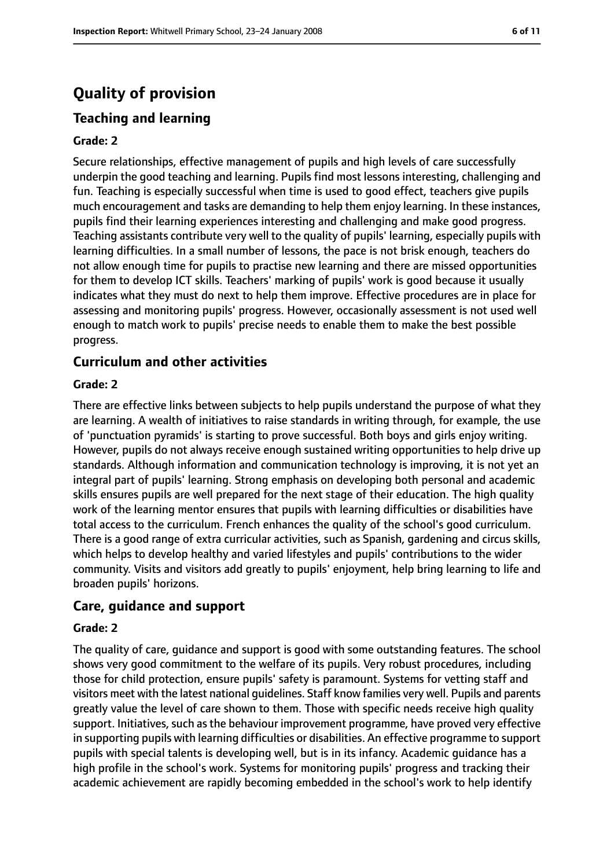# **Quality of provision**

### **Teaching and learning**

#### **Grade: 2**

Secure relationships, effective management of pupils and high levels of care successfully underpin the good teaching and learning. Pupils find most lessons interesting, challenging and fun. Teaching is especially successful when time is used to good effect, teachers give pupils much encouragement and tasks are demanding to help them enjoy learning. In these instances, pupils find their learning experiences interesting and challenging and make good progress. Teaching assistants contribute very well to the quality of pupils' learning, especially pupils with learning difficulties. In a small number of lessons, the pace is not brisk enough, teachers do not allow enough time for pupils to practise new learning and there are missed opportunities for them to develop ICT skills. Teachers' marking of pupils' work is good because it usually indicates what they must do next to help them improve. Effective procedures are in place for assessing and monitoring pupils' progress. However, occasionally assessment is not used well enough to match work to pupils' precise needs to enable them to make the best possible progress.

#### **Curriculum and other activities**

#### **Grade: 2**

There are effective links between subjects to help pupils understand the purpose of what they are learning. A wealth of initiatives to raise standards in writing through, for example, the use of 'punctuation pyramids' is starting to prove successful. Both boys and girls enjoy writing. However, pupils do not always receive enough sustained writing opportunities to help drive up standards. Although information and communication technology is improving, it is not yet an integral part of pupils' learning. Strong emphasis on developing both personal and academic skills ensures pupils are well prepared for the next stage of their education. The high quality work of the learning mentor ensures that pupils with learning difficulties or disabilities have total access to the curriculum. French enhances the quality of the school's good curriculum. There is a good range of extra curricular activities, such as Spanish, gardening and circus skills, which helps to develop healthy and varied lifestyles and pupils' contributions to the wider community. Visits and visitors add greatly to pupils' enjoyment, help bring learning to life and broaden pupils' horizons.

#### **Care, guidance and support**

#### **Grade: 2**

The quality of care, guidance and support is good with some outstanding features. The school shows very good commitment to the welfare of its pupils. Very robust procedures, including those for child protection, ensure pupils' safety is paramount. Systems for vetting staff and visitors meet with the latest national guidelines. Staff know families very well. Pupils and parents greatly value the level of care shown to them. Those with specific needs receive high quality support. Initiatives, such as the behaviour improvement programme, have proved very effective in supporting pupils with learning difficulties or disabilities. An effective programme to support pupils with special talents is developing well, but is in its infancy. Academic guidance has a high profile in the school's work. Systems for monitoring pupils' progress and tracking their academic achievement are rapidly becoming embedded in the school's work to help identify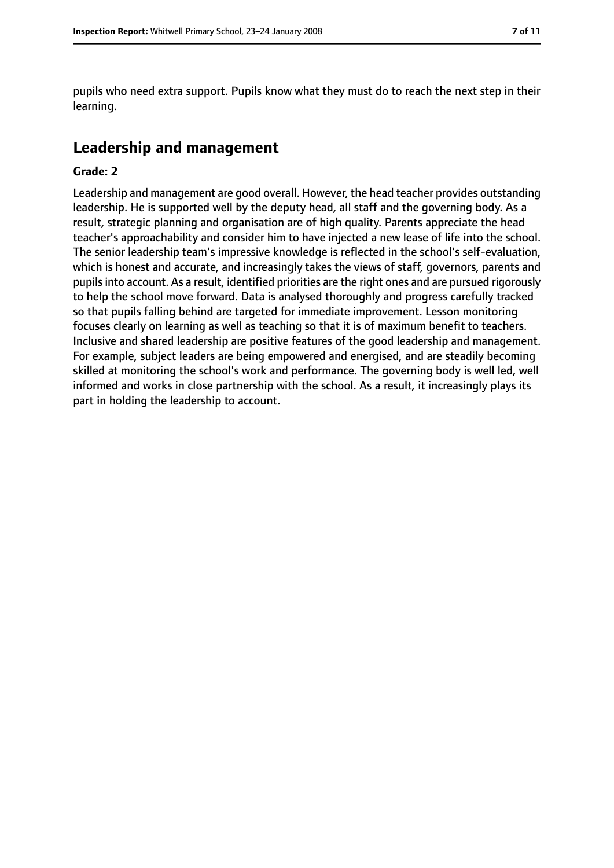pupils who need extra support. Pupils know what they must do to reach the next step in their learning.

## **Leadership and management**

#### **Grade: 2**

Leadership and management are good overall. However, the head teacher provides outstanding leadership. He is supported well by the deputy head, all staff and the governing body. As a result, strategic planning and organisation are of high quality. Parents appreciate the head teacher's approachability and consider him to have injected a new lease of life into the school. The senior leadership team's impressive knowledge is reflected in the school's self-evaluation, which is honest and accurate, and increasingly takes the views of staff, governors, parents and pupilsinto account. As a result, identified priorities are the right ones and are pursued rigorously to help the school move forward. Data is analysed thoroughly and progress carefully tracked so that pupils falling behind are targeted for immediate improvement. Lesson monitoring focuses clearly on learning as well as teaching so that it is of maximum benefit to teachers. Inclusive and shared leadership are positive features of the good leadership and management. For example, subject leaders are being empowered and energised, and are steadily becoming skilled at monitoring the school's work and performance. The governing body is well led, well informed and works in close partnership with the school. As a result, it increasingly plays its part in holding the leadership to account.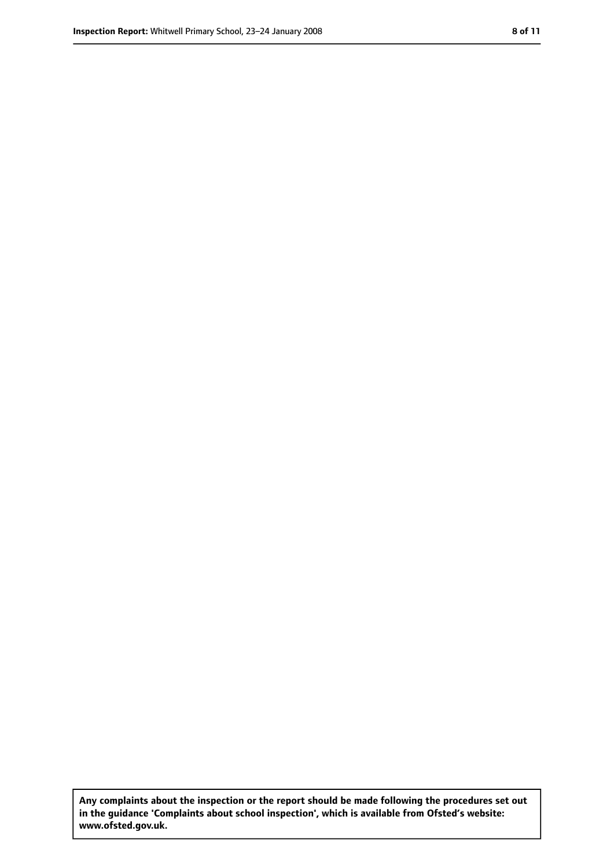**Any complaints about the inspection or the report should be made following the procedures set out in the guidance 'Complaints about school inspection', which is available from Ofsted's website: www.ofsted.gov.uk.**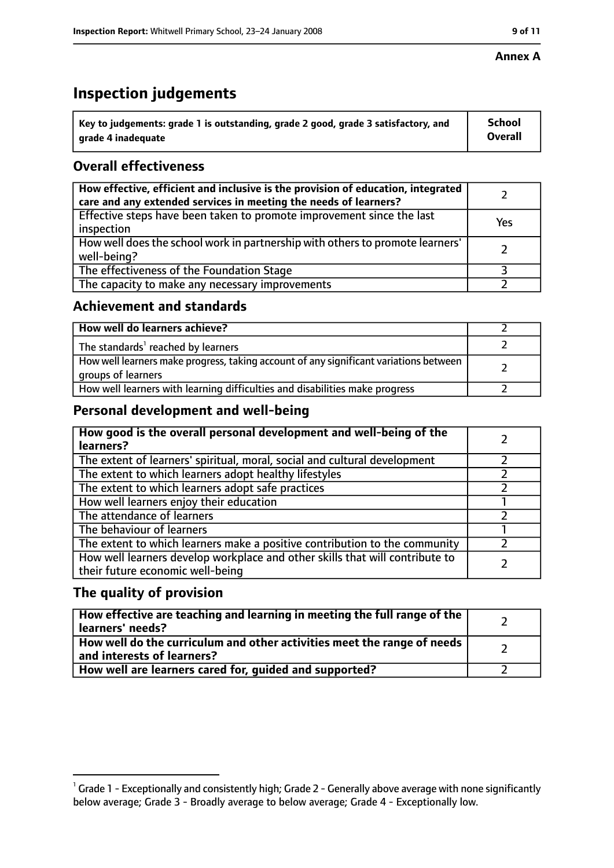#### **Annex A**

# **Inspection judgements**

| $^{\backprime}$ Key to judgements: grade 1 is outstanding, grade 2 good, grade 3 satisfactory, and | <b>School</b>  |
|----------------------------------------------------------------------------------------------------|----------------|
| arade 4 inadequate                                                                                 | <b>Overall</b> |

### **Overall effectiveness**

| How effective, efficient and inclusive is the provision of education, integrated<br>care and any extended services in meeting the needs of learners? |     |
|------------------------------------------------------------------------------------------------------------------------------------------------------|-----|
| Effective steps have been taken to promote improvement since the last<br>inspection                                                                  | Yes |
| How well does the school work in partnership with others to promote learners'<br>well-being?                                                         |     |
| The effectiveness of the Foundation Stage                                                                                                            |     |
| The capacity to make any necessary improvements                                                                                                      |     |

#### **Achievement and standards**

| How well do learners achieve?                                                                               |  |
|-------------------------------------------------------------------------------------------------------------|--|
| The standards <sup>1</sup> reached by learners                                                              |  |
| How well learners make progress, taking account of any significant variations between<br>groups of learners |  |
| How well learners with learning difficulties and disabilities make progress                                 |  |

#### **Personal development and well-being**

| How good is the overall personal development and well-being of the<br>learners?                                  |  |
|------------------------------------------------------------------------------------------------------------------|--|
| The extent of learners' spiritual, moral, social and cultural development                                        |  |
| The extent to which learners adopt healthy lifestyles                                                            |  |
| The extent to which learners adopt safe practices                                                                |  |
| How well learners enjoy their education                                                                          |  |
| The attendance of learners                                                                                       |  |
| The behaviour of learners                                                                                        |  |
| The extent to which learners make a positive contribution to the community                                       |  |
| How well learners develop workplace and other skills that will contribute to<br>their future economic well-being |  |

#### **The quality of provision**

| How effective are teaching and learning in meeting the full range of the<br>learners' needs?          |  |
|-------------------------------------------------------------------------------------------------------|--|
| How well do the curriculum and other activities meet the range of needs<br>and interests of learners? |  |
| How well are learners cared for, guided and supported?                                                |  |

 $^1$  Grade 1 - Exceptionally and consistently high; Grade 2 - Generally above average with none significantly below average; Grade 3 - Broadly average to below average; Grade 4 - Exceptionally low.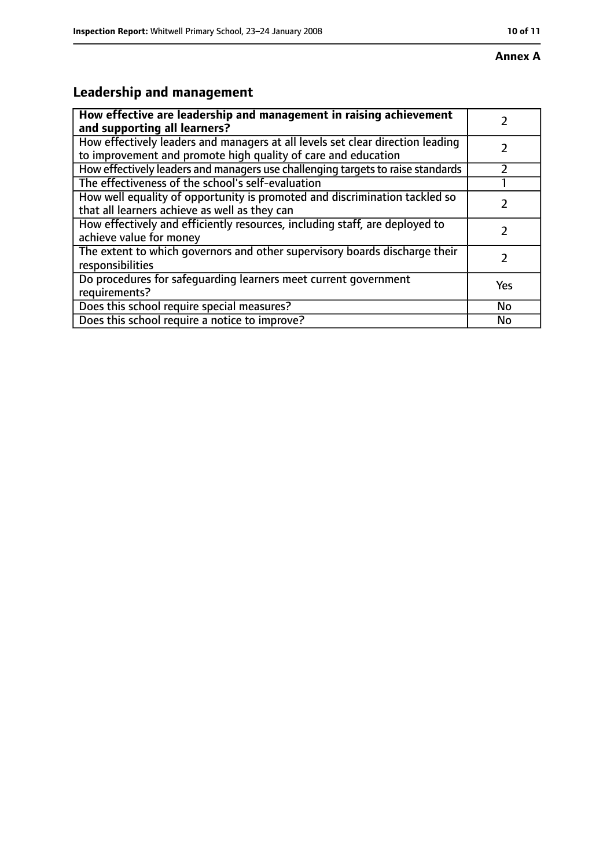# **Leadership and management**

| How effective are leadership and management in raising achievement<br>and supporting all learners?                                              |     |
|-------------------------------------------------------------------------------------------------------------------------------------------------|-----|
| How effectively leaders and managers at all levels set clear direction leading<br>to improvement and promote high quality of care and education |     |
| How effectively leaders and managers use challenging targets to raise standards                                                                 |     |
| The effectiveness of the school's self-evaluation                                                                                               |     |
| How well equality of opportunity is promoted and discrimination tackled so<br>that all learners achieve as well as they can                     |     |
| How effectively and efficiently resources, including staff, are deployed to<br>achieve value for money                                          |     |
| The extent to which governors and other supervisory boards discharge their<br>responsibilities                                                  |     |
| Do procedures for safequarding learners meet current government<br>requirements?                                                                | Yes |
| Does this school require special measures?                                                                                                      | No  |
| Does this school require a notice to improve?                                                                                                   | No  |